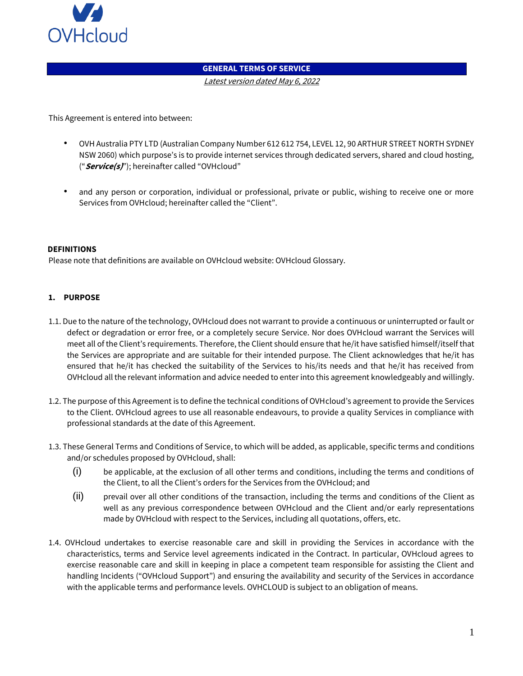

# **GENERAL TERMS OF SERVICE** Latest version dated May 6, 2022

This Agreement is entered into between:

- OVH Australia PTY LTD (Australian Company Number 612 612 754, LEVEL 12, 90 ARTHUR STREET NORTH SYDNEY NSW 2060) which purpose's is to provide internet services through dedicated servers, shared and cloud hosting, ("**Service(s)**"); hereinafter called "OVHcloud"
- and any person or corporation, individual or professional, private or public, wishing to receive one or more Services from OVHcloud; hereinafter called the "Client".

### **DEFINITIONS**

Please note that definitions are available on OVHcloud website: OVHcloud Glossary.

### **1. PURPOSE**

- 1.1. Due to the nature of the technology, OVHcloud does not warrant to provide a continuous or uninterrupted or fault or defect or degradation or error free, or a completely secure Service. Nor does OVHcloud warrant the Services will meet all of the Client's requirements. Therefore, the Client should ensure that he/it have satisfied himself/itself that the Services are appropriate and are suitable for their intended purpose. The Client acknowledges that he/it has ensured that he/it has checked the suitability of the Services to his/its needs and that he/it has received from OVHcloud all the relevant information and advice needed to enter into this agreement knowledgeably and willingly.
- 1.2. The purpose of this Agreement is to define the technical conditions of OVHcloud's agreement to provide the Services to the Client. OVHcloud agrees to use all reasonable endeavours, to provide a quality Services in compliance with professional standards at the date of this Agreement.
- 1.3. These General Terms and Conditions of Service, to which will be added, as applicable, specific terms and conditions and/or schedules proposed by OVHcloud, shall:
	- (i) be applicable, at the exclusion of all other terms and conditions, including the terms and conditions of the Client, to all the Client's orders for the Services from the OVHcloud; and
	- (ii) prevail over all other conditions of the transaction, including the terms and conditions of the Client as well as any previous correspondence between OVHcloud and the Client and/or early representations made by OVHcloud with respect to the Services, including all quotations, offers, etc.
- 1.4. OVHcloud undertakes to exercise reasonable care and skill in providing the Services in accordance with the characteristics, terms and Service level agreements indicated in the Contract. In particular, OVHcloud agrees to exercise reasonable care and skill in keeping in place a competent team responsible for assisting the Client and handling Incidents ("OVHcloud Support") and ensuring the availability and security of the Services in accordance with the applicable terms and performance levels. OVHCLOUD is subject to an obligation of means.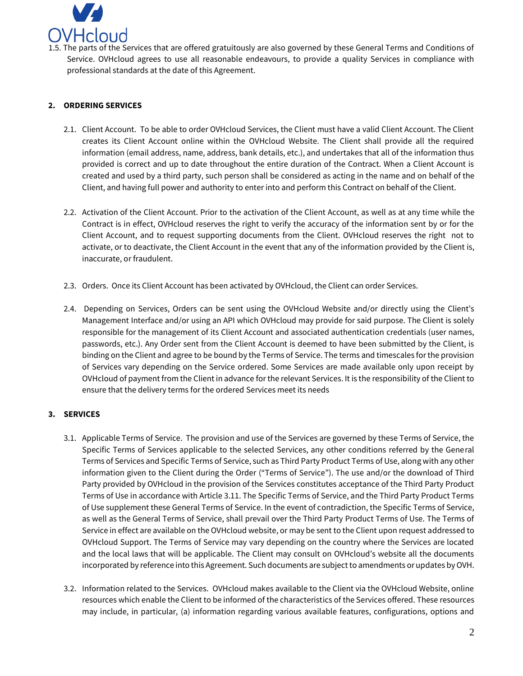

The parts of the Services that are offered gratuitously are also governed by these General Terms and Conditions of Service. OVHcloud agrees to use all reasonable endeavours, to provide a quality Services in compliance with professional standards at the date of this Agreement.

## **2. ORDERING SERVICES**

- 2.1. Client Account. To be able to order OVHcloud Services, the Client must have a valid Client Account. The Client creates its Client Account online within the OVHcloud Website. The Client shall provide all the required information (email address, name, address, bank details, etc.), and undertakes that all of the information thus provided is correct and up to date throughout the entire duration of the Contract. When a Client Account is created and used by a third party, such person shall be considered as acting in the name and on behalf of the Client, and having full power and authority to enter into and perform this Contract on behalf of the Client.
- 2.2. Activation of the Client Account. Prior to the activation of the Client Account, as well as at any time while the Contract is in effect, OVHcloud reserves the right to verify the accuracy of the information sent by or for the Client Account, and to request supporting documents from the Client. OVHcloud reserves the right not to activate, or to deactivate, the Client Account in the event that any of the information provided by the Client is, inaccurate, or fraudulent.
- 2.3. Orders. Once its Client Account has been activated by OVHcloud, the Client can order Services.
- 2.4. Depending on Services, Orders can be sent using the OVHcloud Website and/or directly using the Client's Management Interface and/or using an API which OVHcloud may provide for said purpose. The Client is solely responsible for the management of its Client Account and associated authentication credentials (user names, passwords, etc.). Any Order sent from the Client Account is deemed to have been submitted by the Client, is binding on the Client and agree to be bound by the Terms of Service. The terms and timescales for the provision of Services vary depending on the Service ordered. Some Services are made available only upon receipt by OVHcloud of payment from the Client in advance for the relevant Services. It is the responsibility of the Client to ensure that the delivery terms for the ordered Services meet its needs

## **3. SERVICES**

- 3.1. Applicable Terms of Service. The provision and use of the Services are governed by these Terms of Service, the Specific Terms of Services applicable to the selected Services, any other conditions referred by the General Terms of Services and Specific Terms of Service, such as Third Party Product Terms of Use, along with any other information given to the Client during the Order ("Terms of Service"). The use and/or the download of Third Party provided by OVHcloud in the provision of the Services constitutes acceptance of the Third Party Product Terms of Use in accordance with Article 3.11. The Specific Terms of Service, and the Third Party Product Terms of Use supplement these General Terms of Service. In the event of contradiction, the Specific Terms of Service, as well as the General Terms of Service, shall prevail over the Third Party Product Terms of Use. The Terms of Service in effect are available on the OVHcloud website, or may be sent to the Client upon request addressed to OVHcloud Support. The Terms of Service may vary depending on the country where the Services are located and the local laws that will be applicable. The Client may consult on OVHcloud's website all the documents incorporated by reference into this Agreement. Such documents are subject to amendments or updates by OVH.
- 3.2. Information related to the Services. OVHcloud makes available to the Client via the OVHcloud Website, online resources which enable the Client to be informed of the characteristics of the Services offered. These resources may include, in particular, (a) information regarding various available features, configurations, options and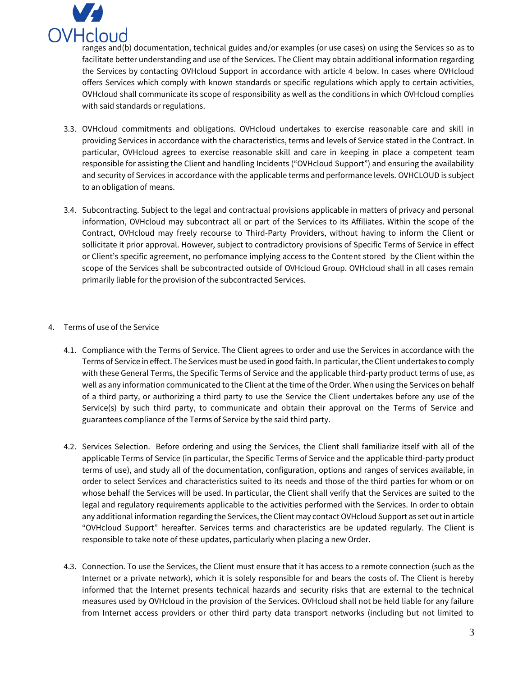

anges and(b) documentation, technical guides and/or examples (or use cases) on using the Services so as to facilitate better understanding and use of the Services. The Client may obtain additional information regarding the Services by contacting OVHcloud Support in accordance with article 4 below. In cases where OVHcloud offers Services which comply with known standards or specific regulations which apply to certain activities, OVHcloud shall communicate its scope of responsibility as well as the conditions in which OVHcloud complies with said standards or regulations.

- 3.3. OVHcloud commitments and obligations. OVHcloud undertakes to exercise reasonable care and skill in providing Services in accordance with the characteristics, terms and levels of Service stated in the Contract. In particular, OVHcloud agrees to exercise reasonable skill and care in keeping in place a competent team responsible for assisting the Client and handling Incidents ("OVHcloud Support") and ensuring the availability and security of Services in accordance with the applicable terms and performance levels. OVHCLOUD is subject to an obligation of means.
- 3.4. Subcontracting. Subject to the legal and contractual provisions applicable in matters of privacy and personal information, OVHcloud may subcontract all or part of the Services to its Affiliates. Within the scope of the Contract, OVHcloud may freely recourse to Third-Party Providers, without having to inform the Client or sollicitate it prior approval. However, subject to contradictory provisions of Specific Terms of Service in effect or Client's specific agreement, no perfomance implying access to the Content stored by the Client within the scope of the Services shall be subcontracted outside of OVHcloud Group. OVHcloud shall in all cases remain primarily liable for the provision of the subcontracted Services.

## 4. Terms of use of the Service

- 4.1. Compliance with the Terms of Service. The Client agrees to order and use the Services in accordance with the Terms of Service in effect. The Services must be used in good faith. In particular, the Client undertakes to comply with these General Terms, the Specific Terms of Service and the applicable third-party product terms of use, as well as any information communicated to the Client at the time of the Order. When using the Services on behalf of a third party, or authorizing a third party to use the Service the Client undertakes before any use of the Service(s) by such third party, to communicate and obtain their approval on the Terms of Service and guarantees compliance of the Terms of Service by the said third party.
- 4.2. Services Selection. Before ordering and using the Services, the Client shall familiarize itself with all of the applicable Terms of Service (in particular, the Specific Terms of Service and the applicable third-party product terms of use), and study all of the documentation, configuration, options and ranges of services available, in order to select Services and characteristics suited to its needs and those of the third parties for whom or on whose behalf the Services will be used. In particular, the Client shall verify that the Services are suited to the legal and regulatory requirements applicable to the activities performed with the Services. In order to obtain any additional information regarding the Services, the Client may contact OVHcloud Support as set out in article "OVHcloud Support" hereafter. Services terms and characteristics are be updated regularly. The Client is responsible to take note of these updates, particularly when placing a new Order.
- 4.3. Connection. To use the Services, the Client must ensure that it has access to a remote connection (such as the Internet or a private network), which it is solely responsible for and bears the costs of. The Client is hereby informed that the Internet presents technical hazards and security risks that are external to the technical measures used by OVHcloud in the provision of the Services. OVHcloud shall not be held liable for any failure from Internet access providers or other third party data transport networks (including but not limited to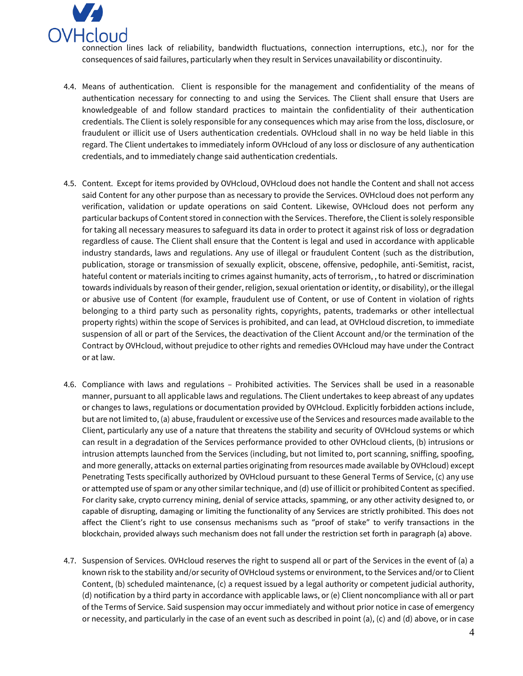

connection lines lack of reliability, bandwidth fluctuations, connection interruptions, etc.), nor for the consequences of said failures, particularly when they result in Services unavailability or discontinuity.

- 4.4. Means of authentication. Client is responsible for the management and confidentiality of the means of authentication necessary for connecting to and using the Services. The Client shall ensure that Users are knowledgeable of and follow standard practices to maintain the confidentiality of their authentication credentials. The Client is solely responsible for any consequences which may arise from the loss, disclosure, or fraudulent or illicit use of Users authentication credentials. OVHcloud shall in no way be held liable in this regard. The Client undertakes to immediately inform OVHcloud of any loss or disclosure of any authentication credentials, and to immediately change said authentication credentials.
- 4.5. Content. Except for items provided by OVHcloud, OVHcloud does not handle the Content and shall not access said Content for any other purpose than as necessary to provide the Services. OVHcloud does not perform any verification, validation or update operations on said Content. Likewise, OVHcloud does not perform any particular backups of Content stored in connection with the Services. Therefore, the Client is solely responsible for taking all necessary measures to safeguard its data in order to protect it against risk of loss or degradation regardless of cause. The Client shall ensure that the Content is legal and used in accordance with applicable industry standards, laws and regulations. Any use of illegal or fraudulent Content (such as the distribution, publication, storage or transmission of sexually explicit, obscene, offensive, pedophile, anti-Semitist, racist, hateful content or materials inciting to crimes against humanity, acts of terrorism, , to hatred or discrimination towards individuals by reason of their gender, religion, sexual orientation or identity, or disability), or the illegal or abusive use of Content (for example, fraudulent use of Content, or use of Content in violation of rights belonging to a third party such as personality rights, copyrights, patents, trademarks or other intellectual property rights) within the scope of Services is prohibited, and can lead, at OVHcloud discretion, to immediate suspension of all or part of the Services, the deactivation of the Client Account and/or the termination of the Contract by OVHcloud, without prejudice to other rights and remedies OVHcloud may have under the Contract or at law.
- 4.6. Compliance with laws and regulations Prohibited activities. The Services shall be used in a reasonable manner, pursuant to all applicable laws and regulations. The Client undertakes to keep abreast of any updates or changes to laws, regulations or documentation provided by OVHcloud. Explicitly forbidden actions include, but are not limited to, (a) abuse, fraudulent or excessive use of the Services and resources made available to the Client, particularly any use of a nature that threatens the stability and security of OVHcloud systems or which can result in a degradation of the Services performance provided to other OVHcloud clients, (b) intrusions or intrusion attempts launched from the Services (including, but not limited to, port scanning, sniffing, spoofing, and more generally, attacks on external parties originating from resources made available by OVHcloud) except Penetrating Tests specifically authorized by OVHcloud pursuant to these General Terms of Service, (c) any use or attempted use of spam or any other similar technique, and (d) use of illicit or prohibited Content as specified. For clarity sake, crypto currency mining, denial of service attacks, spamming, or any other activity designed to, or capable of disrupting, damaging or limiting the functionality of any Services are strictly prohibited. This does not affect the Client's right to use consensus mechanisms such as "proof of stake" to verify transactions in the blockchain, provided always such mechanism does not fall under the restriction set forth in paragraph (a) above.
- 4.7. Suspension of Services. OVHcloud reserves the right to suspend all or part of the Services in the event of (a) a known risk to the stability and/or security of OVHcloud systems or environment, to the Services and/or to Client Content, (b) scheduled maintenance, (c) a request issued by a legal authority or competent judicial authority, (d) notification by a third party in accordance with applicable laws, or (e) Client noncompliance with all or part of the Terms of Service. Said suspension may occur immediately and without prior notice in case of emergency or necessity, and particularly in the case of an event such as described in point (a), (c) and (d) above, or in case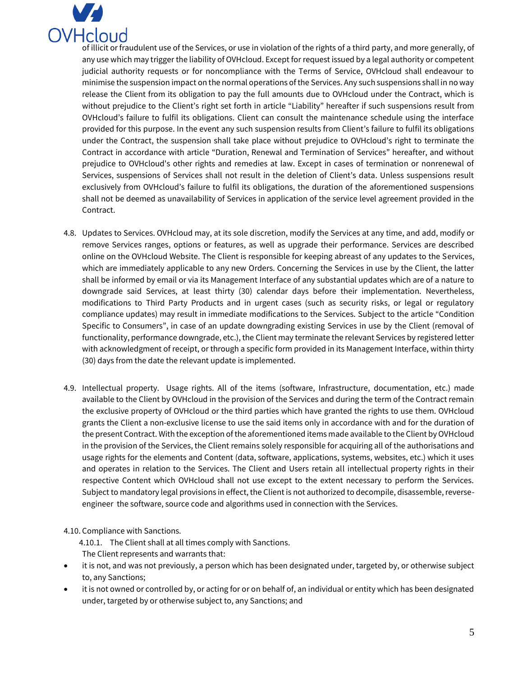

of illicit or fraudulent use of the Services, or use in violation of the rights of a third party, and more generally, of any use which may trigger the liability of OVHcloud. Except for request issued by a legal authority or competent judicial authority requests or for noncompliance with the Terms of Service, OVHcloud shall endeavour to minimise the suspension impact on the normal operations of the Services. Any such suspensions shall in no way release the Client from its obligation to pay the full amounts due to OVHcloud under the Contract, which is without prejudice to the Client's right set forth in article "Liability" hereafter if such suspensions result from OVHcloud's failure to fulfil its obligations. Client can consult the maintenance schedule using the interface provided for this purpose. In the event any such suspension results from Client's failure to fulfil its obligations under the Contract, the suspension shall take place without prejudice to OVHcloud's right to terminate the Contract in accordance with article "Duration, Renewal and Termination of Services" hereafter, and without prejudice to OVHcloud's other rights and remedies at law. Except in cases of termination or nonrenewal of Services, suspensions of Services shall not result in the deletion of Client's data. Unless suspensions result exclusively from OVHcloud's failure to fulfil its obligations, the duration of the aforementioned suspensions shall not be deemed as unavailability of Services in application of the service level agreement provided in the Contract.

- 4.8. Updates to Services. OVHcloud may, at its sole discretion, modify the Services at any time, and add, modify or remove Services ranges, options or features, as well as upgrade their performance. Services are described online on the OVHcloud Website. The Client is responsible for keeping abreast of any updates to the Services, which are immediately applicable to any new Orders. Concerning the Services in use by the Client, the latter shall be informed by email or via its Management Interface of any substantial updates which are of a nature to downgrade said Services, at least thirty (30) calendar days before their implementation. Nevertheless, modifications to Third Party Products and in urgent cases (such as security risks, or legal or regulatory compliance updates) may result in immediate modifications to the Services. Subject to the article "Condition Specific to Consumers", in case of an update downgrading existing Services in use by the Client (removal of functionality, performance downgrade, etc.), the Client may terminate the relevant Services by registered letter with acknowledgment of receipt, or through a specific form provided in its Management Interface, within thirty (30) days from the date the relevant update is implemented.
- 4.9. Intellectual property. Usage rights. All of the items (software, Infrastructure, documentation, etc.) made available to the Client by OVHcloud in the provision of the Services and during the term of the Contract remain the exclusive property of OVHcloud or the third parties which have granted the rights to use them. OVHcloud grants the Client a non-exclusive license to use the said items only in accordance with and for the duration of the present Contract. With the exception of the aforementioned items made available to the Client by OVHcloud in the provision of the Services, the Client remains solely responsible for acquiring all of the authorisations and usage rights for the elements and Content (data, software, applications, systems, websites, etc.) which it uses and operates in relation to the Services. The Client and Users retain all intellectual property rights in their respective Content which OVHcloud shall not use except to the extent necessary to perform the Services. Subject to mandatory legal provisions in effect, the Client is not authorized to decompile, disassemble, reverseengineer the software, source code and algorithms used in connection with the Services.
- 4.10. Compliance with Sanctions.

4.10.1. The Client shall at all times comply with Sanctions.

- The Client represents and warrants that:
- it is not, and was not previously, a person which has been designated under, targeted by, or otherwise subject to, any Sanctions;
- it is not owned or controlled by, or acting for or on behalf of, an individual or entity which has been designated under, targeted by or otherwise subject to, any Sanctions; and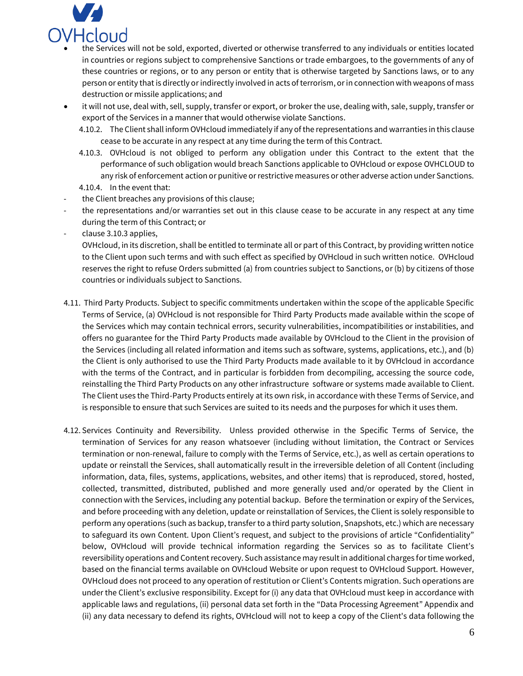

- the Services will not be sold, exported, diverted or otherwise transferred to any individuals or entities located in countries or regions subject to comprehensive Sanctions or trade embargoes, to the governments of any of these countries or regions, or to any person or entity that is otherwise targeted by Sanctions laws, or to any person or entity that is directly or indirectly involved in acts of terrorism, or in connection with weapons of mass destruction or missile applications; and
- it will not use, deal with, sell, supply, transfer or export, or broker the use, dealing with, sale, supply, transfer or export of the Services in a manner that would otherwise violate Sanctions.
	- 4.10.2. The Client shall inform OVHcloud immediately if any of the representations and warranties in this clause cease to be accurate in any respect at any time during the term of this Contract.
	- 4.10.3. OVHcloud is not obliged to perform any obligation under this Contract to the extent that the performance of such obligation would breach Sanctions applicable to OVHcloud or expose OVHCLOUD to any risk of enforcement action or punitive or restrictive measures or other adverse action under Sanctions.
	- 4.10.4. In the event that:
- the Client breaches any provisions of this clause;
- the representations and/or warranties set out in this clause cease to be accurate in any respect at any time during the term of this Contract; or
- clause 3.10.3 applies,

OVHcloud, in its discretion, shall be entitled to terminate all or part of this Contract, by providing written notice to the Client upon such terms and with such effect as specified by OVHcloud in such written notice. OVHcloud reserves the right to refuse Orders submitted (a) from countries subject to Sanctions, or (b) by citizens of those countries or individuals subject to Sanctions.

- 4.11. Third Party Products. Subject to specific commitments undertaken within the scope of the applicable Specific Terms of Service, (a) OVHcloud is not responsible for Third Party Products made available within the scope of the Services which may contain technical errors, security vulnerabilities, incompatibilities or instabilities, and offers no guarantee for the Third Party Products made available by OVHcloud to the Client in the provision of the Services (including all related information and items such as software, systems, applications, etc.), and (b) the Client is only authorised to use the Third Party Products made available to it by OVHcloud in accordance with the terms of the Contract, and in particular is forbidden from decompiling, accessing the source code, reinstalling the Third Party Products on any other infrastructure software or systems made available to Client. The Client uses the Third-Party Products entirely at its own risk, in accordance with these Terms of Service, and is responsible to ensure that such Services are suited to its needs and the purposes for which it uses them.
- 4.12. Services Continuity and Reversibility. Unless provided otherwise in the Specific Terms of Service, the termination of Services for any reason whatsoever (including without limitation, the Contract or Services termination or non-renewal, failure to comply with the Terms of Service, etc.), as well as certain operations to update or reinstall the Services, shall automatically result in the irreversible deletion of all Content (including information, data, files, systems, applications, websites, and other items) that is reproduced, stored, hosted, collected, transmitted, distributed, published and more generally used and/or operated by the Client in connection with the Services, including any potential backup. Before the termination or expiry of the Services, and before proceeding with any deletion, update or reinstallation of Services, the Client is solely responsible to perform any operations (such as backup, transfer to a third party solution, Snapshots, etc.) which are necessary to safeguard its own Content. Upon Client's request, and subject to the provisions of article "Confidentiality" below, OVHcloud will provide technical information regarding the Services so as to facilitate Client's reversibility operations and Content recovery. Such assistance may result in additional charges for time worked, based on the financial terms available on OVHcloud Website or upon request to OVHcloud Support. However, OVHcloud does not proceed to any operation of restitution or Client's Contents migration. Such operations are under the Client's exclusive responsibility. Except for (i) any data that OVHcloud must keep in accordance with applicable laws and regulations, (ii) personal data set forth in the "Data Processing Agreement" Appendix and (ii) any data necessary to defend its rights, OVHcloud will not to keep a copy of the Client's data following the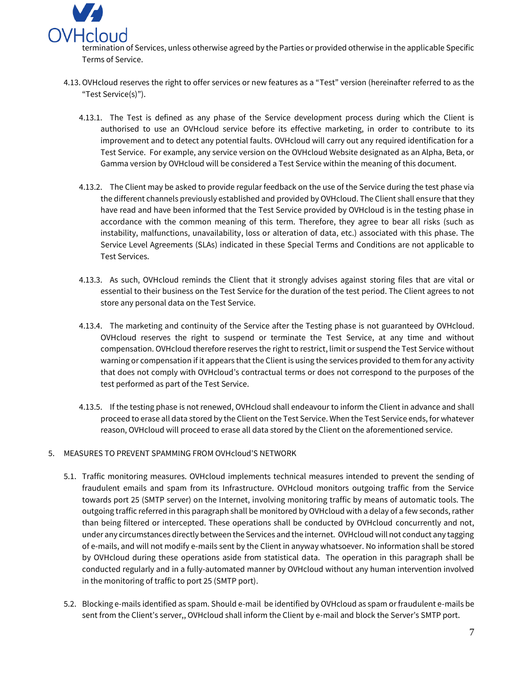

ination of Services, unless otherwise agreed by the Parties or provided otherwise in the applicable Specific Terms of Service.

- 4.13. OVHcloud reserves the right to offer services or new features as a "Test" version (hereinafter referred to as the "Test Service(s)").
	- 4.13.1. The Test is defined as any phase of the Service development process during which the Client is authorised to use an OVHcloud service before its effective marketing, in order to contribute to its improvement and to detect any potential faults. OVHcloud will carry out any required identification for a Test Service. For example, any service version on the OVHcloud Website designated as an Alpha, Beta, or Gamma version by OVHcloud will be considered a Test Service within the meaning of this document.
	- 4.13.2. The Client may be asked to provide regular feedback on the use of the Service during the test phase via the different channels previously established and provided by OVHcloud. The Client shall ensure that they have read and have been informed that the Test Service provided by OVHcloud is in the testing phase in accordance with the common meaning of this term. Therefore, they agree to bear all risks (such as instability, malfunctions, unavailability, loss or alteration of data, etc.) associated with this phase. The Service Level Agreements (SLAs) indicated in these Special Terms and Conditions are not applicable to Test Services.
	- 4.13.3. As such, OVHcloud reminds the Client that it strongly advises against storing files that are vital or essential to their business on the Test Service for the duration of the test period. The Client agrees to not store any personal data on the Test Service.
	- 4.13.4. The marketing and continuity of the Service after the Testing phase is not guaranteed by OVHcloud. OVHcloud reserves the right to suspend or terminate the Test Service, at any time and without compensation. OVHcloud therefore reserves the right to restrict, limit or suspend the Test Service without warning or compensation if it appears that the Client is using the services provided to them for any activity that does not comply with OVHcloud's contractual terms or does not correspond to the purposes of the test performed as part of the Test Service.
	- 4.13.5. If the testing phase is not renewed, OVHcloud shall endeavour to inform the Client in advance and shall proceed to erase all data stored by the Client on the Test Service. When the Test Service ends, for whatever reason, OVHcloud will proceed to erase all data stored by the Client on the aforementioned service.

## 5. MEASURES TO PREVENT SPAMMING FROM OVHcloud'S NETWORK

- 5.1. Traffic monitoring measures. OVHcloud implements technical measures intended to prevent the sending of fraudulent emails and spam from its Infrastructure. OVHcloud monitors outgoing traffic from the Service towards port 25 (SMTP server) on the Internet, involving monitoring traffic by means of automatic tools. The outgoing traffic referred in this paragraph shall be monitored by OVHcloud with a delay of a few seconds, rather than being filtered or intercepted. These operations shall be conducted by OVHcloud concurrently and not, under any circumstances directly between the Services and the internet. OVHcloud will not conduct any tagging of e-mails, and will not modify e-mails sent by the Client in anyway whatsoever. No information shall be stored by OVHcloud during these operations aside from statistical data. The operation in this paragraph shall be conducted regularly and in a fully-automated manner by OVHcloud without any human intervention involved in the monitoring of traffic to port 25 (SMTP port).
- 5.2. Blocking e-mails identified as spam. Should e-mail be identified by OVHcloud as spam or fraudulent e-mails be sent from the Client's server,, OVHcloud shall inform the Client by e-mail and block the Server's SMTP port.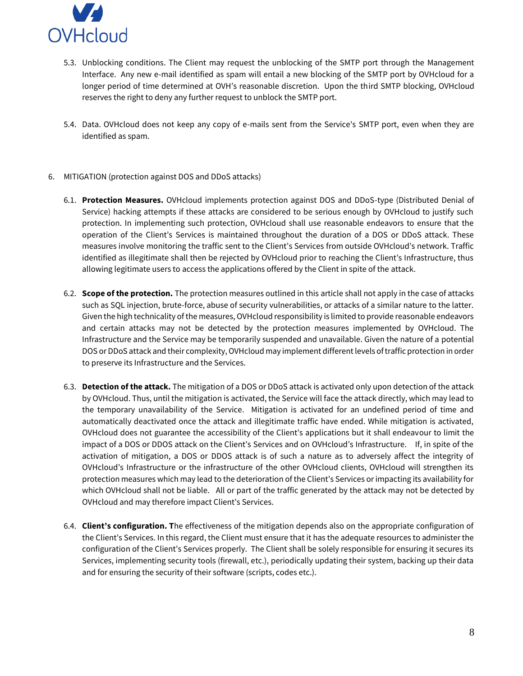

- 5.3. Unblocking conditions. The Client may request the unblocking of the SMTP port through the Management Interface. Any new e-mail identified as spam will entail a new blocking of the SMTP port by OVHcloud for a longer period of time determined at OVH's reasonable discretion. Upon the third SMTP blocking, OVHcloud reserves the right to deny any further request to unblock the SMTP port.
- 5.4. Data. OVHcloud does not keep any copy of e-mails sent from the Service's SMTP port, even when they are identified as spam.
- 6. MITIGATION (protection against DOS and DDoS attacks)
	- 6.1. **Protection Measures.** OVHcloud implements protection against DOS and DDoS-type (Distributed Denial of Service) hacking attempts if these attacks are considered to be serious enough by OVHcloud to justify such protection. In implementing such protection, OVHcloud shall use reasonable endeavors to ensure that the operation of the Client's Services is maintained throughout the duration of a DOS or DDoS attack. These measures involve monitoring the traffic sent to the Client's Services from outside OVHcloud's network. Traffic identified as illegitimate shall then be rejected by OVHcloud prior to reaching the Client's Infrastructure, thus allowing legitimate users to access the applications offered by the Client in spite of the attack.
	- 6.2. **Scope of the protection.** The protection measures outlined in this article shall not apply in the case of attacks such as SQL injection, brute-force, abuse of security vulnerabilities, or attacks of a similar nature to the latter. Given the high technicality of the measures, OVHcloud responsibility is limited to provide reasonable endeavors and certain attacks may not be detected by the protection measures implemented by OVHcloud. The Infrastructure and the Service may be temporarily suspended and unavailable. Given the nature of a potential DOS or DDoS attack and their complexity, OVHcloud may implement different levels of traffic protection in order to preserve its Infrastructure and the Services.
	- 6.3. **Detection of the attack.** The mitigation of a DOS or DDoS attack is activated only upon detection of the attack by OVHcloud. Thus, until the mitigation is activated, the Service will face the attack directly, which may lead to the temporary unavailability of the Service. Mitigation is activated for an undefined period of time and automatically deactivated once the attack and illegitimate traffic have ended. While mitigation is activated, OVHcloud does not guarantee the accessibility of the Client's applications but it shall endeavour to limit the impact of a DOS or DDOS attack on the Client's Services and on OVHcloud's Infrastructure. If, in spite of the activation of mitigation, a DOS or DDOS attack is of such a nature as to adversely affect the integrity of OVHcloud's Infrastructure or the infrastructure of the other OVHcloud clients, OVHcloud will strengthen its protection measures which may lead to the deterioration of the Client's Services or impacting its availability for which OVHcloud shall not be liable. All or part of the traffic generated by the attack may not be detected by OVHcloud and may therefore impact Client's Services.
	- 6.4. **Client's configuration. T**he effectiveness of the mitigation depends also on the appropriate configuration of the Client's Services. In this regard, the Client must ensure that it has the adequate resources to administer the configuration of the Client's Services properly. The Client shall be solely responsible for ensuring it secures its Services, implementing security tools (firewall, etc.), periodically updating their system, backing up their data and for ensuring the security of their software (scripts, codes etc.).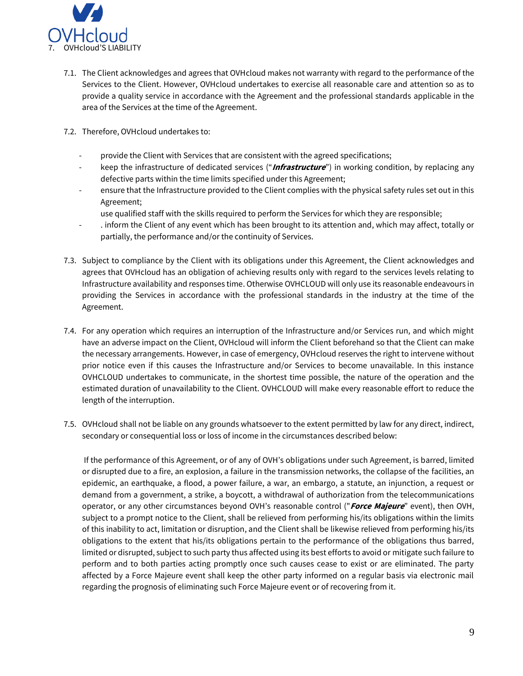

- 7.1. The Client acknowledges and agrees that OVHcloud makes not warranty with regard to the performance of the Services to the Client. However, OVHcloud undertakes to exercise all reasonable care and attention so as to provide a quality service in accordance with the Agreement and the professional standards applicable in the area of the Services at the time of the Agreement.
- 7.2. Therefore, OVHcloud undertakes to:
	- provide the Client with Services that are consistent with the agreed specifications;
	- keep the infrastructure of dedicated services ("**Infrastructure**") in working condition, by replacing any defective parts within the time limits specified under this Agreement;
	- ensure that the Infrastructure provided to the Client complies with the physical safety rules set out in this Agreement;
		- use qualified staff with the skills required to perform the Services for which they are responsible;
	- . inform the Client of any event which has been brought to its attention and, which may affect, totally or partially, the performance and/or the continuity of Services.
- 7.3. Subject to compliance by the Client with its obligations under this Agreement, the Client acknowledges and agrees that OVHcloud has an obligation of achieving results only with regard to the services levels relating to Infrastructure availability and responses time. Otherwise OVHCLOUD will only use its reasonable endeavours in providing the Services in accordance with the professional standards in the industry at the time of the Agreement.
- 7.4. For any operation which requires an interruption of the Infrastructure and/or Services run, and which might have an adverse impact on the Client, OVHcloud will inform the Client beforehand so that the Client can make the necessary arrangements. However, in case of emergency, OVHcloud reserves the right to intervene without prior notice even if this causes the Infrastructure and/or Services to become unavailable. In this instance OVHCLOUD undertakes to communicate, in the shortest time possible, the nature of the operation and the estimated duration of unavailability to the Client. OVHCLOUD will make every reasonable effort to reduce the length of the interruption.
- 7.5. OVHcloud shall not be liable on any grounds whatsoever to the extent permitted by law for any direct, indirect, secondary or consequential loss or loss of income in the circumstances described below:

If the performance of this Agreement, or of any of OVH's obligations under such Agreement, is barred, limited or disrupted due to a fire, an explosion, a failure in the transmission networks, the collapse of the facilities, an epidemic, an earthquake, a flood, a power failure, a war, an embargo, a statute, an injunction, a request or demand from a government, a strike, a boycott, a withdrawal of authorization from the telecommunications operator, or any other circumstances beyond OVH's reasonable control ("**Force Majeure**" event), then OVH, subject to a prompt notice to the Client, shall be relieved from performing his/its obligations within the limits of this inability to act, limitation or disruption, and the Client shall be likewise relieved from performing his/its obligations to the extent that his/its obligations pertain to the performance of the obligations thus barred, limited or disrupted, subject to such party thus affected using its best efforts to avoid or mitigate such failure to perform and to both parties acting promptly once such causes cease to exist or are eliminated. The party affected by a Force Majeure event shall keep the other party informed on a regular basis via electronic mail regarding the prognosis of eliminating such Force Majeure event or of recovering from it.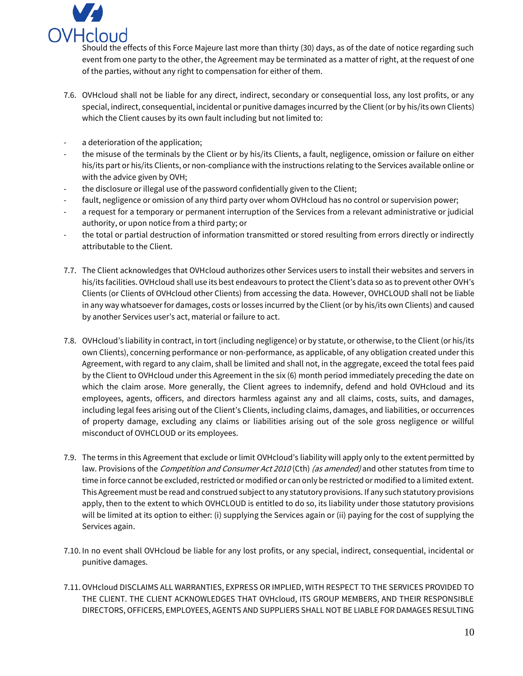

ould the effects of this Force Majeure last more than thirty (30) days, as of the date of notice regarding such event from one party to the other, the Agreement may be terminated as a matter of right, at the request of one of the parties, without any right to compensation for either of them.

- 7.6. OVHcloud shall not be liable for any direct, indirect, secondary or consequential loss, any lost profits, or any special, indirect, consequential, incidental or punitive damages incurred by the Client(or by his/its own Clients) which the Client causes by its own fault including but not limited to:
- a deterioration of the application;
- the misuse of the terminals by the Client or by his/its Clients, a fault, negligence, omission or failure on either his/its part or his/its Clients, or non-compliance with the instructions relating to the Services available online or with the advice given by OVH;
- the disclosure or illegal use of the password confidentially given to the Client;
- fault, negligence or omission of any third party over whom OVHcloud has no control or supervision power;
- a request for a temporary or permanent interruption of the Services from a relevant administrative or judicial authority, or upon notice from a third party; or
- the total or partial destruction of information transmitted or stored resulting from errors directly or indirectly attributable to the Client.
- 7.7. The Client acknowledges that OVHcloud authorizes other Services users to install their websites and servers in his/its facilities. OVHcloud shall use its best endeavours to protect the Client's data so as to prevent other OVH's Clients (or Clients of OVHcloud other Clients) from accessing the data. However, OVHCLOUD shall not be liable in any way whatsoever for damages, costs or losses incurred by the Client (or by his/its own Clients) and caused by another Services user's act, material or failure to act.
- 7.8. OVHcloud's liability in contract, in tort (including negligence) or by statute, or otherwise, to the Client (or his/its own Clients), concerning performance or non-performance, as applicable, of any obligation created under this Agreement, with regard to any claim, shall be limited and shall not, in the aggregate, exceed the total fees paid by the Client to OVHcloud under this Agreement in the six (6) month period immediately preceding the date on which the claim arose. More generally, the Client agrees to indemnify, defend and hold OVHcloud and its employees, agents, officers, and directors harmless against any and all claims, costs, suits, and damages, including legal fees arising out of the Client's Clients, including claims, damages, and liabilities, or occurrences of property damage, excluding any claims or liabilities arising out of the sole gross negligence or willful misconduct of OVHCLOUD or its employees.
- 7.9. The terms in this Agreement that exclude or limit OVHcloud's liability will apply only to the extent permitted by law. Provisions of the *Competition and Consumer Act 2010* (Cth) (as amended) and other statutes from time to time in force cannot be excluded, restricted or modified or can only be restricted or modified to a limited extent. This Agreement must be read and construed subject to any statutory provisions. If any such statutory provisions apply, then to the extent to which OVHCLOUD is entitled to do so, its liability under those statutory provisions will be limited at its option to either: (i) supplying the Services again or (ii) paying for the cost of supplying the Services again.
- 7.10. In no event shall OVHcloud be liable for any lost profits, or any special, indirect, consequential, incidental or punitive damages.
- 7.11. OVHcloud DISCLAIMS ALL WARRANTIES, EXPRESS OR IMPLIED, WITH RESPECT TO THE SERVICES PROVIDED TO THE CLIENT. THE CLIENT ACKNOWLEDGES THAT OVHcloud, ITS GROUP MEMBERS, AND THEIR RESPONSIBLE DIRECTORS, OFFICERS, EMPLOYEES, AGENTS AND SUPPLIERS SHALL NOT BE LIABLE FOR DAMAGES RESULTING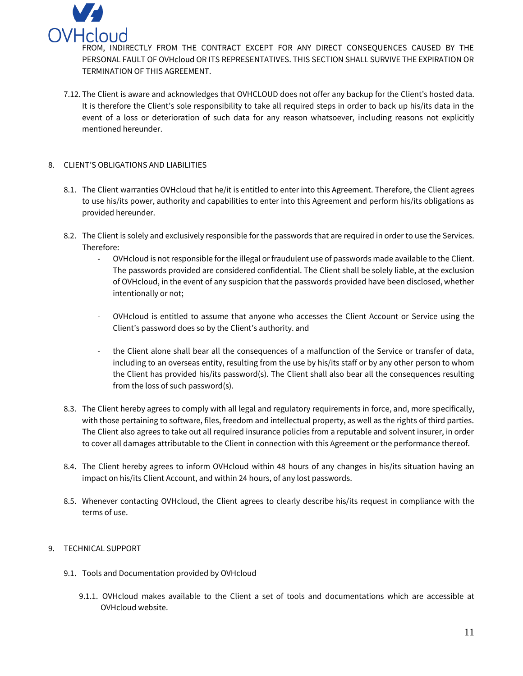

INDIRECTLY FROM THE CONTRACT EXCEPT FOR ANY DIRECT CONSEQUENCES CAUSED BY THE PERSONAL FAULT OF OVHcloud OR ITS REPRESENTATIVES. THIS SECTION SHALL SURVIVE THE EXPIRATION OR TERMINATION OF THIS AGREEMENT.

7.12. The Client is aware and acknowledges that OVHCLOUD does not offer any backup for the Client's hosted data. It is therefore the Client's sole responsibility to take all required steps in order to back up his/its data in the event of a loss or deterioration of such data for any reason whatsoever, including reasons not explicitly mentioned hereunder.

## 8. CLIENT'S OBLIGATIONS AND LIABILITIES

- 8.1. The Client warranties OVHcloud that he/it is entitled to enter into this Agreement. Therefore, the Client agrees to use his/its power, authority and capabilities to enter into this Agreement and perform his/its obligations as provided hereunder.
- 8.2. The Client is solely and exclusively responsible for the passwords that are required in order to use the Services. Therefore:
	- OVHcloud is not responsible for the illegal or fraudulent use of passwords made available to the Client. The passwords provided are considered confidential. The Client shall be solely liable, at the exclusion of OVHcloud, in the event of any suspicion that the passwords provided have been disclosed, whether intentionally or not;
	- OVHcloud is entitled to assume that anyone who accesses the Client Account or Service using the Client's password does so by the Client's authority. and
	- the Client alone shall bear all the consequences of a malfunction of the Service or transfer of data, including to an overseas entity, resulting from the use by his/its staff or by any other person to whom the Client has provided his/its password(s). The Client shall also bear all the consequences resulting from the loss of such password(s).
- 8.3. The Client hereby agrees to comply with all legal and regulatory requirements in force, and, more specifically, with those pertaining to software, files, freedom and intellectual property, as well as the rights of third parties. The Client also agrees to take out all required insurance policies from a reputable and solvent insurer, in order to cover all damages attributable to the Client in connection with this Agreement or the performance thereof.
- 8.4. The Client hereby agrees to inform OVHcloud within 48 hours of any changes in his/its situation having an impact on his/its Client Account, and within 24 hours, of any lost passwords.
- 8.5. Whenever contacting OVHcloud, the Client agrees to clearly describe his/its request in compliance with the terms of use.

## 9. TECHNICAL SUPPORT

- 9.1. Tools and Documentation provided by OVHcloud
	- 9.1.1. OVHcloud makes available to the Client a set of tools and documentations which are accessible at OVHcloud website.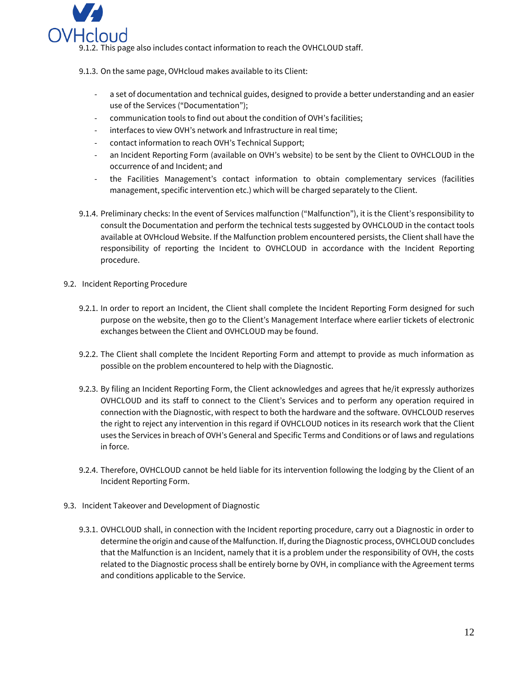

This page also includes contact information to reach the OVHCLOUD staff.

9.1.3. On the same page, OVHcloud makes available to its Client:

- a set of documentation and technical guides, designed to provide a better understanding and an easier use of the Services ("Documentation");
- communication tools to find out about the condition of OVH's facilities;
- interfaces to view OVH's network and Infrastructure in real time;
- contact information to reach OVH's Technical Support;
- an Incident Reporting Form (available on OVH's website) to be sent by the Client to OVHCLOUD in the occurrence of and Incident; and
- the Facilities Management's contact information to obtain complementary services (facilities management, specific intervention etc.) which will be charged separately to the Client.
- 9.1.4. Preliminary checks: In the event of Services malfunction ("Malfunction"), it is the Client's responsibility to consult the Documentation and perform the technical tests suggested by OVHCLOUD in the contact tools available at OVHcloud Websit[e.](https://www.ovh.com/au/support/) If the Malfunction problem encountered persists, the Client shall have the responsibility of reporting the Incident to OVHCLOUD in accordance with the Incident Reporting procedure.
- 9.2. Incident Reporting Procedure
	- 9.2.1. In order to report an Incident, the Client shall complete the Incident Reporting Form designed for such purpose on the website, then go to the Client's Management Interface where earlier tickets of electronic exchanges between the Client and OVHCLOUD may be found.
	- 9.2.2. The Client shall complete the Incident Reporting Form and attempt to provide as much information as possible on the problem encountered to help with the Diagnostic.
	- 9.2.3. By filing an Incident Reporting Form, the Client acknowledges and agrees that he/it expressly authorizes OVHCLOUD and its staff to connect to the Client's Services and to perform any operation required in connection with the Diagnostic, with respect to both the hardware and the software. OVHCLOUD reserves the right to reject any intervention in this regard if OVHCLOUD notices in its research work that the Client uses the Services in breach of OVH's General and Specific Terms and Conditions or of laws and regulations in force.
	- 9.2.4. Therefore, OVHCLOUD cannot be held liable for its intervention following the lodging by the Client of an Incident Reporting Form.
- 9.3. Incident Takeover and Development of Diagnostic
	- 9.3.1. OVHCLOUD shall, in connection with the Incident reporting procedure, carry out a Diagnostic in order to determine the origin and cause of the Malfunction. If, during the Diagnostic process, OVHCLOUD concludes that the Malfunction is an Incident, namely that it is a problem under the responsibility of OVH, the costs related to the Diagnostic process shall be entirely borne by OVH, in compliance with the Agreement terms and conditions applicable to the Service.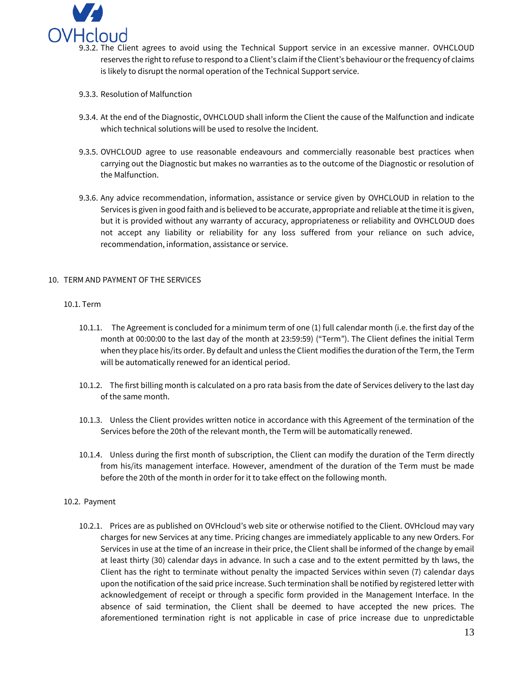

- The Client agrees to avoid using the Technical Support service in an excessive manner. OVHCLOUD reserves the right to refuse to respond to a Client's claim if the Client's behaviour or the frequency of claims is likely to disrupt the normal operation of the Technical Support service.
- 9.3.3. Resolution of Malfunction
- 9.3.4. At the end of the Diagnostic, OVHCLOUD shall inform the Client the cause of the Malfunction and indicate which technical solutions will be used to resolve the Incident.
- 9.3.5. OVHCLOUD agree to use reasonable endeavours and commercially reasonable best practices when carrying out the Diagnostic but makes no warranties as to the outcome of the Diagnostic or resolution of the Malfunction.
- 9.3.6. Any advice recommendation, information, assistance or service given by OVHCLOUD in relation to the Services is given in good faith and is believed to be accurate, appropriate and reliable at the time it is given, but it is provided without any warranty of accuracy, appropriateness or reliability and OVHCLOUD does not accept any liability or reliability for any loss suffered from your reliance on such advice, recommendation, information, assistance or service.

### 10. TERM AND PAYMENT OF THE SERVICES

#### 10.1. Term

- 10.1.1. The Agreement is concluded for a minimum term of one (1) full calendar month (i.e. the first day of the month at 00:00:00 to the last day of the month at 23:59:59) ("Term"). The Client defines the initial Term when they place his/its order. By default and unless the Client modifies the duration of the Term, the Term will be automatically renewed for an identical period.
- 10.1.2. The first billing month is calculated on a pro rata basis from the date of Services delivery to the last day of the same month.
- 10.1.3. Unless the Client provides written notice in accordance with this Agreement of the termination of the Services before the 20th of the relevant month, the Term will be automatically renewed.
- 10.1.4. Unless during the first month of subscription, the Client can modify the duration of the Term directly from his/its management interface. However, amendment of the duration of the Term must be made before the 20th of the month in order for it to take effect on the following month.

#### 10.2. Payment

10.2.1. Prices are as published on OVHcloud's web site or otherwise notified to the Client. OVHcloud may vary charges for new Services at any time. Pricing changes are immediately applicable to any new Orders. For Services in use at the time of an increase in their price, the Client shall be informed of the change by email at least thirty (30) calendar days in advance. In such a case and to the extent permitted by th laws, the Client has the right to terminate without penalty the impacted Services within seven (7) calendar days upon the notification of the said price increase. Such termination shall be notified by registered letter with acknowledgement of receipt or through a specific form provided in the Management Interface. In the absence of said termination, the Client shall be deemed to have accepted the new prices. The aforementioned termination right is not applicable in case of price increase due to unpredictable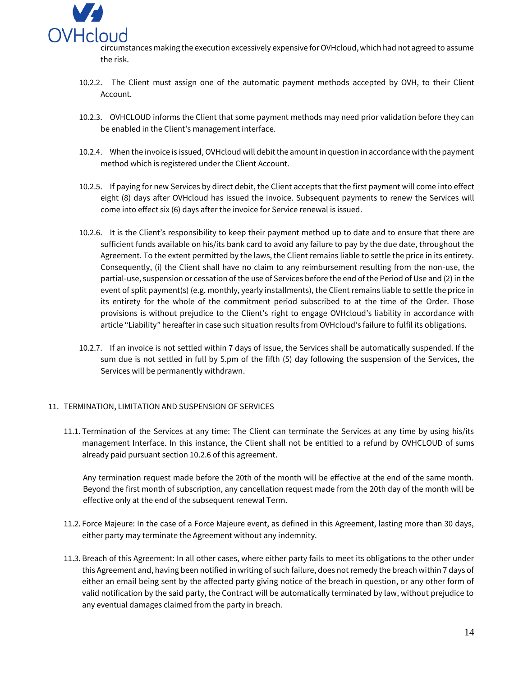

circumstances making the execution excessively expensive for OVHcloud, which had not agreed to assume the risk.

- 10.2.2. The Client must assign one of the automatic payment methods accepted by OVH, to their Client Account.
- 10.2.3. OVHCLOUD informs the Client that some payment methods may need prior validation before they can be enabled in the Client's management interface.
- 10.2.4. When the invoice is issued, OVHcloud will debit the amount in question in accordance with the payment method which is registered under the Client Account.
- 10.2.5. If paying for new Services by direct debit, the Client accepts that the first payment will come into effect eight (8) days after OVHcloud has issued the invoice. Subsequent payments to renew the Services will come into effect six (6) days after the invoice for Service renewal is issued.
- 10.2.6. It is the Client's responsibility to keep their payment method up to date and to ensure that there are sufficient funds available on his/its bank card to avoid any failure to pay by the due date, throughout the Agreement. To the extent permitted by the laws, the Client remains liable to settle the price in its entirety. Consequently, (i) the Client shall have no claim to any reimbursement resulting from the non-use, the partial-use, suspension or cessation of the use of Services before the end of the Period of Use and (2) in the event of split payment(s) (e.g. monthly, yearly installments), the Client remains liable to settle the price in its entirety for the whole of the commitment period subscribed to at the time of the Order. Those provisions is without prejudice to the Client's right to engage OVHcloud's liability in accordance with article "Liability" hereafter in case such situation results from OVHcloud's failure to fulfil its obligations.
- 10.2.7. If an invoice is not settled within 7 days of issue, the Services shall be automatically suspended. If the sum due is not settled in full by 5.pm of the fifth (5) day following the suspension of the Services, the Services will be permanently withdrawn.

#### 11. TERMINATION, LIMITATION AND SUSPENSION OF SERVICES

11.1. Termination of the Services at any time: The Client can terminate the Services at any time by using his/its management Interface. In this instance, the Client shall not be entitled to a refund by OVHCLOUD of sums already paid pursuant section 10.2.6 of this agreement.

Any termination request made before the 20th of the month will be effective at the end of the same month. Beyond the first month of subscription, any cancellation request made from the 20th day of the month will be effective only at the end of the subsequent renewal Term.

- 11.2. Force Majeure: In the case of a Force Majeure event, as defined in this Agreement, lasting more than 30 days, either party may terminate the Agreement without any indemnity.
- 11.3. Breach of this Agreement: In all other cases, where either party fails to meet its obligations to the other under this Agreement and, having been notified in writing of such failure, does not remedy the breach within 7 days of either an email being sent by the affected party giving notice of the breach in question, or any other form of valid notification by the said party, the Contract will be automatically terminated by law, without prejudice to any eventual damages claimed from the party in breach.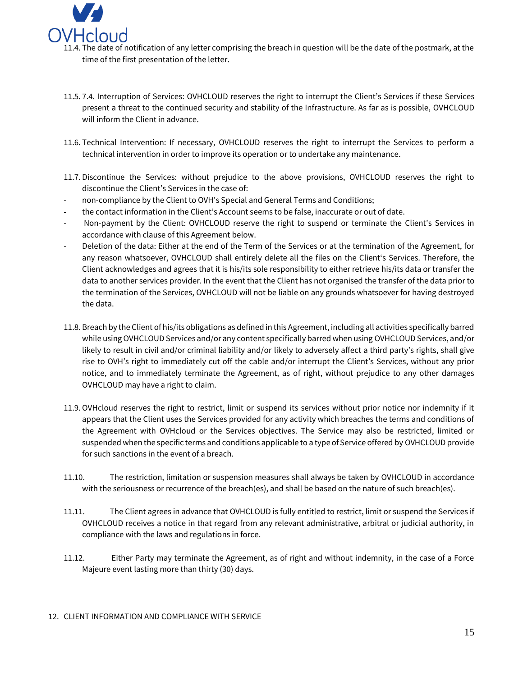

date of notification of any letter comprising the breach in question will be the date of the postmark, at the time of the first presentation of the letter.

- 11.5. 7.4. Interruption of Services: OVHCLOUD reserves the right to interrupt the Client's Services if these Services present a threat to the continued security and stability of the Infrastructure. As far as is possible, OVHCLOUD will inform the Client in advance.
- 11.6. Technical Intervention: If necessary, OVHCLOUD reserves the right to interrupt the Services to perform a technical intervention in order to improve its operation or to undertake any maintenance.
- 11.7. Discontinue the Services: without prejudice to the above provisions, OVHCLOUD reserves the right to discontinue the Client's Services in the case of:
- non-compliance by the Client to OVH's Special and General Terms and Conditions;
- the contact information in the Client's Account seems to be false, inaccurate or out of date.
- Non-payment by the Client: OVHCLOUD reserve the right to suspend or terminate the Client's Services in accordance with clause of this Agreement below.
- Deletion of the data: Either at the end of the Term of the Services or at the termination of the Agreement, for any reason whatsoever, OVHCLOUD shall entirely delete all the files on the Client's Services. Therefore, the Client acknowledges and agrees that it is his/its sole responsibility to either retrieve his/its data or transfer the data to another services provider. In the event that the Client has not organised the transfer of the data prior to the termination of the Services, OVHCLOUD will not be liable on any grounds whatsoever for having destroyed the data.
- 11.8. Breach by the Client of his/its obligations as defined in this Agreement, including all activities specifically barred while using OVHCLOUD Services and/or any content specifically barred when using OVHCLOUD Services, and/or likely to result in civil and/or criminal liability and/or likely to adversely affect a third party's rights, shall give rise to OVH's right to immediately cut off the cable and/or interrupt the Client's Services, without any prior notice, and to immediately terminate the Agreement, as of right, without prejudice to any other damages OVHCLOUD may have a right to claim.
- 11.9. OVHcloud reserves the right to restrict, limit or suspend its services without prior notice nor indemnity if it appears that the Client uses the Services provided for any activity which breaches the terms and conditions of the Agreement with OVHcloud or the Services objectives. The Service may also be restricted, limited or suspended when the specific terms and conditions applicable to a type of Service offered by OVHCLOUD provide for such sanctions in the event of a breach.
- 11.10. The restriction, limitation or suspension measures shall always be taken by OVHCLOUD in accordance with the seriousness or recurrence of the breach(es), and shall be based on the nature of such breach(es).
- 11.11. The Client agrees in advance that OVHCLOUD is fully entitled to restrict, limit or suspend the Services if OVHCLOUD receives a notice in that regard from any relevant administrative, arbitral or judicial authority, in compliance with the laws and regulations in force.
- 11.12. Either Party may terminate the Agreement, as of right and without indemnity, in the case of a Force Majeure event lasting more than thirty (30) days.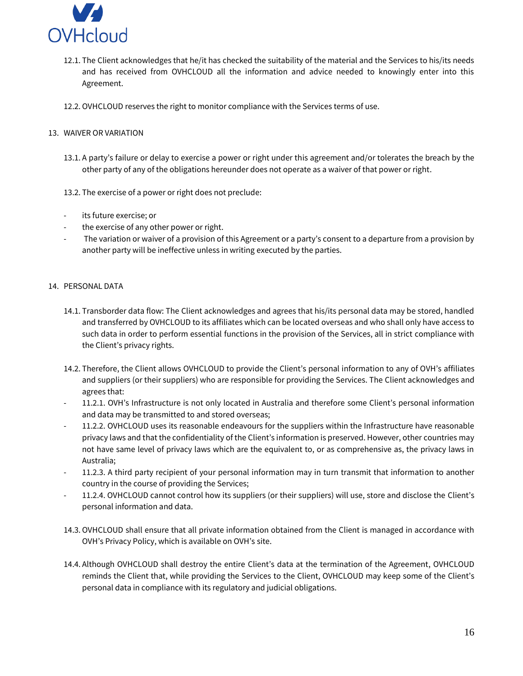

- 12.1. The Client acknowledges that he/it has checked the suitability of the material and the Services to his/its needs and has received from OVHCLOUD all the information and advice needed to knowingly enter into this Agreement.
- 12.2. OVHCLOUD reserves the right to monitor compliance with the Services terms of use.

#### 13. WAIVER OR VARIATION

- 13.1. A party's failure or delay to exercise a power or right under this agreement and/or tolerates the breach by the other party of any of the obligations hereunder does not operate as a waiver of that power or right.
- 13.2. The exercise of a power or right does not preclude:
- its future exercise; or
- the exercise of any other power or right.
- The variation or waiver of a provision of this Agreement or a party's consent to a departure from a provision by another party will be ineffective unless in writing executed by the parties.

### 14. PERSONAL DATA

- 14.1. Transborder data flow: The Client acknowledges and agrees that his/its personal data may be stored, handled and transferred by OVHCLOUD to its affiliates which can be located overseas and who shall only have access to such data in order to perform essential functions in the provision of the Services, all in strict compliance with the Client's privacy rights.
- 14.2. Therefore, the Client allows OVHCLOUD to provide the Client's personal information to any of OVH's affiliates and suppliers (or their suppliers) who are responsible for providing the Services. The Client acknowledges and agrees that:
- 11.2.1. OVH's Infrastructure is not only located in Australia and therefore some Client's personal information and data may be transmitted to and stored overseas;
- 11.2.2. OVHCLOUD uses its reasonable endeavours for the suppliers within the Infrastructure have reasonable privacy laws and that the confidentiality of the Client's information is preserved. However, other countries may not have same level of privacy laws which are the equivalent to, or as comprehensive as, the privacy laws in Australia;
- 11.2.3. A third party recipient of your personal information may in turn transmit that information to another country in the course of providing the Services;
- 11.2.4. OVHCLOUD cannot control how its suppliers (or their suppliers) will use, store and disclose the Client's personal information and data.
- 14.3. OVHCLOUD shall ensure that all private information obtained from the Client is managed in accordance with OVH's Privacy Policy, which is available on OVH's site.
- 14.4. Although OVHCLOUD shall destroy the entire Client's data at the termination of the Agreement, OVHCLOUD reminds the Client that, while providing the Services to the Client, OVHCLOUD may keep some of the Client's personal data in compliance with its regulatory and judicial obligations.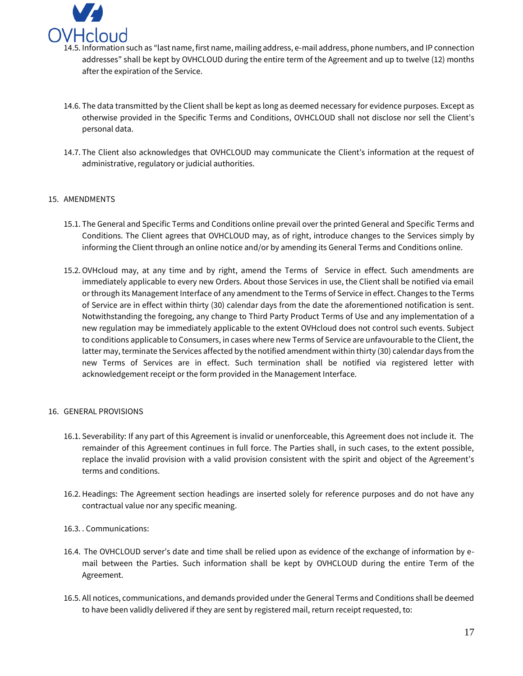

- 14.5. Information such as "last name, first name, mailing address, e-mail address, phone numbers, and IP connection addresses" shall be kept by OVHCLOUD during the entire term of the Agreement and up to twelve (12) months after the expiration of the Service.
- 14.6. The data transmitted by the Client shall be kept as long as deemed necessary for evidence purposes. Except as otherwise provided in the Specific Terms and Conditions, OVHCLOUD shall not disclose nor sell the Client's personal data.
- 14.7. The Client also acknowledges that OVHCLOUD may communicate the Client's information at the request of administrative, regulatory or judicial authorities.

### 15. AMENDMENTS

- 15.1. The General and Specific Terms and Conditions online prevail over the printed General and Specific Terms and Conditions. The Client agrees that OVHCLOUD may, as of right, introduce changes to the Services simply by informing the Client through an online notice and/or by amending its General Terms and Conditions online.
- 15.2. OVHcloud may, at any time and by right, amend the Terms of Service in effect. Such amendments are immediately applicable to every new Orders. About those Services in use, the Client shall be notified via email or through its Management Interface of any amendment to the Terms of Service in effect. Changes to the Terms of Service are in effect within thirty (30) calendar days from the date the aforementioned notification is sent. Notwithstanding the foregoing, any change to Third Party Product Terms of Use and any implementation of a new regulation may be immediately applicable to the extent OVHcloud does not control such events. Subject to conditions applicable to Consumers, in cases where new Terms of Service are unfavourable to the Client, the latter may, terminate the Services affected by the notified amendment within thirty (30) calendar days from the new Terms of Services are in effect. Such termination shall be notified via registered letter with acknowledgement receipt or the form provided in the Management Interface.

#### 16. GENERAL PROVISIONS

- 16.1. Severability: If any part of this Agreement is invalid or unenforceable, this Agreement does not include it. The remainder of this Agreement continues in full force. The Parties shall, in such cases, to the extent possible, replace the invalid provision with a valid provision consistent with the spirit and object of the Agreement's terms and conditions.
- 16.2. Headings: The Agreement section headings are inserted solely for reference purposes and do not have any contractual value nor any specific meaning.
- 16.3. . Communications:
- 16.4. The OVHCLOUD server's date and time shall be relied upon as evidence of the exchange of information by email between the Parties. Such information shall be kept by OVHCLOUD during the entire Term of the Agreement.
- 16.5. All notices, communications, and demands provided under the General Terms and Conditions shall be deemed to have been validly delivered if they are sent by registered mail, return receipt requested, to: